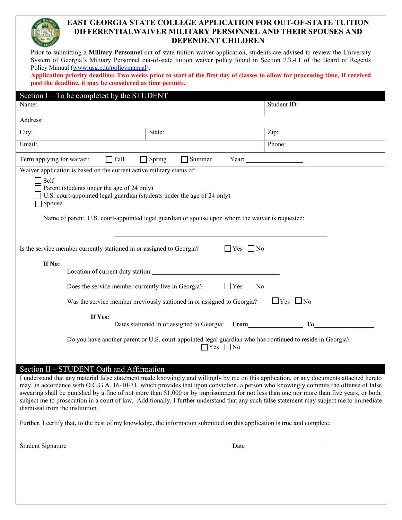# **EAST GEORGIA STATE COLLEGE APPLICATION FOR OUT-OF-STATE TUITION DIFFERENTIALWAIVER MILITARY PERSONNEL AND THEIR SPOUSES AND DEPENDENT CHILDREN**

Prior to submitting a **Military Personnel** out-of-state tuition waiver application, students are advised to review the University System of Georgia's Military Personnel out-of-state tuition waiver policy found in Section 7.3.4.1 of the Board of Regents Policy Manual [\(www.usg.edu/policymanual\)](http://www.usg.edu/policymanual).

**Application priority deadline: Two weeks prior to start of the first day of classes to allow for processing time. If received past the deadline, it may be considered as time permits.**

| Section $I - To$ be completed by the STUDENT                                                                                                      |                                                                                                                                                                             |                                                                                                                                                                                                                                                  |  |  |
|---------------------------------------------------------------------------------------------------------------------------------------------------|-----------------------------------------------------------------------------------------------------------------------------------------------------------------------------|--------------------------------------------------------------------------------------------------------------------------------------------------------------------------------------------------------------------------------------------------|--|--|
| Name:                                                                                                                                             |                                                                                                                                                                             | Student ID:                                                                                                                                                                                                                                      |  |  |
| Address:                                                                                                                                          |                                                                                                                                                                             |                                                                                                                                                                                                                                                  |  |  |
| City:                                                                                                                                             | State:                                                                                                                                                                      | Zip:                                                                                                                                                                                                                                             |  |  |
| Email:                                                                                                                                            |                                                                                                                                                                             | Phone:                                                                                                                                                                                                                                           |  |  |
| Term applying for waiver:<br>$\Box$ Fall<br>Spring<br>Summer<br>Year:<br>Waiver application is based on the current active military status of:    |                                                                                                                                                                             |                                                                                                                                                                                                                                                  |  |  |
| $\bigcap$ Self<br>Parent (students under the age of 24 only)<br>U.S. court-appointed legal guardian (students under the age of 24 only)<br>Spouse | Name of parent, U.S. court-appointed legal guardian or spouse upon whom the waiver is requested:                                                                            |                                                                                                                                                                                                                                                  |  |  |
| Is the service member currently stationed in or assigned to Georgia?                                                                              | $\Box$ Yes $\Box$ No                                                                                                                                                        |                                                                                                                                                                                                                                                  |  |  |
| If No:<br>Does the service member currently live in Georgia?<br>If Yes:                                                                           | Location of current duty station:<br>$\Box$ Yes $\Box$ No<br>Was the service member previously stationed in or assigned to Georgia?                                         | $\Box$ Yes $\Box$ No                                                                                                                                                                                                                             |  |  |
|                                                                                                                                                   | Dates stationed in or assigned to Georgia:<br>Do you have another parent or U.S. court-appointed legal guardian who has continued to reside in Georgia?<br>Yes<br>$\Box$ No | T <sub>0</sub><br>From The Contract of the Contract of the Contract of the Contract of the Contract of the Contract of the Contract of the Contract of the Contract of the Contract of the Contract of the Contract of the Contract of the Contr |  |  |

### Section II – STUDENT Oath and Affirmation

I understand that any material false statement made knowingly and willingly by me on this application, or any documents attached hereto may, in accordance with O.C.G.A. 16-10-71, which provides that upon conviction, a person who knowingly commits the offense of false swearing shall be punished by a fine of not more than \$1,000 or by imprisonment for not less than one nor more than five years, or both, subject me to prosecution in a court of law. Additionally, I further understand that any such false statement may subject me to immediate dismissal from the institution.

Further, I certify that, to the best of my knowledge, the information submitted on this application is true and complete.

Student Signature Date